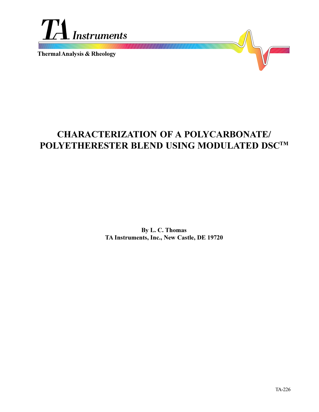

**Thermal Analysis & Rheology**

# **CHARACTERIZATION OF A POLYCARBONATE/ POLYETHERESTER BLEND USING MODULATED DSCTM**

**By L. C. Thomas TA Instruments, Inc., New Castle, DE 19720**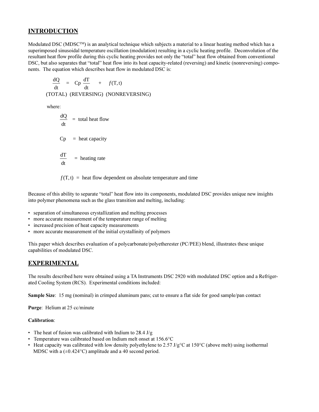## **INTRODUCTION**

Modulated DSC (MDSC<sup>TM</sup>) is an analytical technique which subjects a material to a linear heating method which has a superimposed sinusoidal temperature oscillation (modulation) resulting in a cyclic heating profile. Deconvolution of the resultant heat flow profile during this cyclic heating provides not only the "total" heat flow obtained from conventional DSC, but also separates that "total" heat flow into its heat capacity-related (reversing) and kinetic (nonreversing) components. The equation which describes heat flow in modulated DSC is:

$$
\frac{dQ}{dt} = Cp \frac{dT}{dt} + f(T, t)
$$
  
(TOTAL) (REVERSING) (NONREVERSING)

where:

$$
\frac{dQ}{dt} = \text{total heat flow}
$$
\n
$$
Cp = \text{heat capacity}
$$
\n
$$
\frac{dT}{dt} = \text{heating rate}
$$

 $f(T, t)$  = heat flow dependent on absolute temperature and time

Because of this ability to separate "total" heat flow into its components, modulated DSC provides unique new insights into polymer phenomena such as the glass transition and melting, including:

- separation of simultaneous crystallization and melting processes
- more accurate measurement of the temperature range of melting
- increased precision of heat capacity measurements
- more accurate measurement of the initial crystallinity of polymers

This paper which describes evaluation of a polycarbonate/polyetherester (PC/PEE) blend, illustrates these unique capabilities of modulated DSC.

# **EXPERIMENTAL**

The results described here were obtained using a TA Instruments DSC 2920 with modulated DSC option and a Refrigerated Cooling System (RCS). Experimental conditions included:

**Sample Size**: 15 mg (nominal) in crimped aluminum pans; cut to ensure a flat side for good sample/pan contact

**Purge**: Helium at 25 cc/minute

## **Calibration**:

- The heat of fusion was calibrated with Indium to 28.4  $J/g$
- Temperature was calibrated based on Indium melt onset at 156.6°C
- Heat capacity was calibrated with low density polyethylene to  $2.57 \text{ J/g}^{\circ}\text{C}$  at 150°C (above melt) using isothermal MDSC with a  $(\pm 0.424^{\circ}$ C) amplitude and a 40 second period.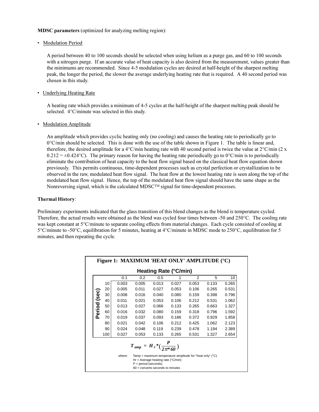#### **MDSC parameters** (optimized for analyzing melting region):

• Modulation Period

A period between 40 to 100 seconds should be selected when using helium as a purge gas, and 60 to 100 seconds with a nitrogen purge. If an accurate value of heat capacity is also desired from the measurement, values greater than the minimums are recommended. Since 4-5 modulation cycles are desired at half-height of the sharpest melting peak, the longer the period, the slower the average underlying heating rate that is required. A 40 second period was chosen in this study.

Underlying Heating Rate

A heating rate which provides a minimum of 4-5 cycles at the half-height of the sharpest melting peak should be selected. 4°C/minute was selected in this study.

• Modulation Amplitude

An amplitude which provides cyclic heating only (no cooling) and causes the heating rate to periodically go to  $0^{\circ}$ C/min should be selected. This is done with the use of the table shown in Figure 1. The table is linear and, therefore, the desired amplitude for a 4 $\degree$ C/min heating rate with 40 second period is twice the value at  $2\degree$ C/min (2 x  $0.212 = \pm 0.424$ °C). The primary reason for having the heating rate periodically go to 0°C/min is to periodically eliminate the contribution of heat capacity to the heat flow signal based on the classical heat flow equation shown previously. This permits continuous, time-dependent processes such as crystal perfection or crystallization to be observed in the raw, modulated heat flow signal. The heat flow at the lowest heating rate is seen along the top of the modulated heat flow signal. Hence, the top of the modulated heat flow signal should have the same shape as the Nonreversing signal, which is the calculated MDSC<sup>TM</sup> signal for time-dependent processes.

#### **Thermal History**:

Preliminary experiments indicated that the glass transition of this blend changes as the blend is temperature cycled. Therefore, the actual results were obtained as the blend was cycled four times between -50 and 250°C. The cooling rate was kept constant at 5°C/minute to separate cooling effects from material changes. Each cycle consisted of cooling at 5°C/minute to -50°C, equilibration for 5 minutes, heating at 4°C/minute in MDSC mode to 250°C, equilibration for 5 minutes, and then repeating the cycle.

|                                                                                                                                                                                 |     |       | Figure 1: MAXIMUM 'HEAT ONLY' AMPLITUDE (°C) |       |       |                |       |       |  |
|---------------------------------------------------------------------------------------------------------------------------------------------------------------------------------|-----|-------|----------------------------------------------|-------|-------|----------------|-------|-------|--|
| Heating Rate (°C/min)                                                                                                                                                           |     |       |                                              |       |       |                |       |       |  |
|                                                                                                                                                                                 |     | 0.1   | 0.2                                          | 0.5   |       | $\mathfrak{p}$ | 5     | 10    |  |
|                                                                                                                                                                                 | 10  | 0.003 | 0.005                                        | 0.013 | 0.027 | 0.053          | 0.133 | 0.265 |  |
|                                                                                                                                                                                 | 20  | 0.005 | 0.011                                        | 0.027 | 0.053 | 0.106          | 0.265 | 0.531 |  |
|                                                                                                                                                                                 | 30  | 0.008 | 0.016                                        | 0.040 | 0.080 | 0.159          | 0.398 | 0.796 |  |
| Period (sec                                                                                                                                                                     | 40  | 0.011 | 0.021                                        | 0.053 | 0.106 | 0.212          | 0.531 | 1.062 |  |
|                                                                                                                                                                                 | 50  | 0.013 | 0.027                                        | 0.066 | 0.133 | 0.265          | 0.663 | 1.327 |  |
|                                                                                                                                                                                 | 60  | 0.016 | 0.032                                        | 0.080 | 0.159 | 0.318          | 0.796 | 1.592 |  |
|                                                                                                                                                                                 | 70  | 0.019 | 0.037                                        | 0.093 | 0.186 | 0.372          | 0.929 | 1.858 |  |
|                                                                                                                                                                                 | 80  | 0.021 | 0.042                                        | 0.106 | 0.212 | 0.425          | 1.062 | 2.123 |  |
|                                                                                                                                                                                 | 90  | 0.024 | 0.048                                        | 0.119 | 0.239 | 0.478          | 1.194 | 2.389 |  |
|                                                                                                                                                                                 | 100 | 0.027 | 0.053                                        | 0.133 | 0.265 | 0.531          | 1.327 | 2.654 |  |
| $T_{amp} = H_r^*(\frac{P}{2\pi^*60})$                                                                                                                                           |     |       |                                              |       |       |                |       |       |  |
| Tamp = maximum temperature amplitude for "heat only" ( $°C$ )<br>where:<br>$Hr = Average heating rate (°C/min)$<br>$P = period$ (seconds)<br>$60 =$ converts seconds to minutes |     |       |                                              |       |       |                |       |       |  |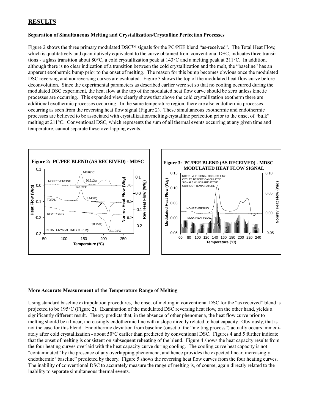# **RESULTS**

#### **Separation of Simultaneous Melting and Crystallization/Crystalline Perfection Processes**

Figure 2 shows the three primary modulated DSC<sup>TM</sup> signals for the PC/PEE blend "as-received". The Total Heat Flow, which is qualitatively and quantitatively equivalent to the curve obtained from conventional DSC, indicates three transitions - a glass transition about 80°C, a cold crystallization peak at 143°C and a melting peak at 211°C. In addition, although there is no clear indication of a transition between the cold crystallization and the melt, the "baseline" has an apparent exothermic bump prior to the onset of melting. The reason for this bump becomes obvious once the modulated DSC reversing and nonreversing curves are evaluated. Figure 3 shows the top of the modulated heat flow curve before deconvolution. Since the experimental parameters as described earlier were set so that no cooling occurred during the modulated DSC experiment, the heat flow at the top of the modulated heat flow curve should be zero unless kinetic processes are occurring. This expanded view clearly shows that above the cold crystallization exotherm there are additional exothermic processes occurring. In the same temperature region, there are also endothermic processes occurring as seen from the reversing heat flow signal (Figure 2). These simultaneous exothermic and endothermic processes are believed to be associated with crystallization/melting/crystalline perfection prior to the onset of "bulk" melting at 211°C. Conventional DSC, which represents the sum of all thermal events occurring at any given time and temperature, cannot separate these overlapping events.





#### **More Accurate Measurement of the Temperature Range of Melting**

Using standard baseline extrapolation procedures, the onset of melting in conventional DSC for the "as received" blend is projected to be 195°C (Figure 2). Examination of the modulated DSC reversing heat flow, on the other hand, yields a significantly different result. Theory predicts that, in the absence of other phenomena, the heat flow curve prior to melting should be a linear, increasingly endothermic line with a slope directly related to heat capacity. Obviously, that is not the case for this blend. Endothermic deviation from baseline (onset of the "melting process") actually occurs immediately after cold crystallization - about 50°C earlier than predicted by conventional DSC. Figures 4 and 5 further indicate that the onset of melting is consistent on subsequent reheating of the blend. Figure 4 shows the heat capacity results from the four heating curves overlaid with the heat capacity curve during cooling. The cooling curve heat capacity is not "contaminated" by the presence of any overlapping phenomena, and hence provides the expected linear, increasingly endothermic "baseline" predicted by theory. Figure 5 shows the reversing heat flow curves from the four heating curves. The inability of conventional DSC to accurately measure the range of melting is, of course, again directly related to the inability to separate simultaneous thermal events.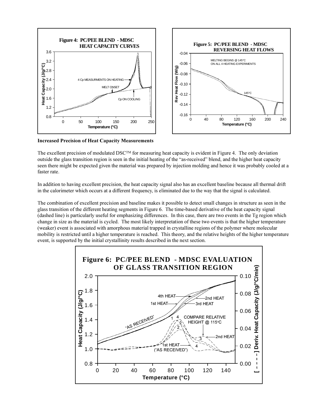

**Increased Precision of Heat Capacity Measurements**

The excellent precision of modulated DSC<sup>TM</sup> for measuring heat capacity is evident in Figure 4. The only deviation outside the glass transition region is seen in the initial heating of the "as-received" blend, and the higher heat capacity seen there might be expected given the material was prepared by injection molding and hence it was probably cooled at a faster rate.

In addition to having excellent precision, the heat capacity signal also has an excellent baseline because all thermal drift in the calorimeter which occurs at a different frequency, is eliminated due to the way that the signal is calculated.

The combination of excellent precision and baseline makes it possible to detect small changes in structure as seen in the glass transition of the different heating segments in Figure 6. The time-based derivative of the heat capacity signal (dashed line) is particularly useful for emphasizing differences. In this case, there are two events in the Tg region which change in size as the material is cycled. The most likely interpretation of these two events is that the higher temperature (weaker) event is associated with amorphous material trapped in crystalline regions of the polymer where molecular mobility is restricted until a higher temperature is reached. This theory, and the relative heights of the higher temperature event, is supported by the initial crystallinity results described in the next section.